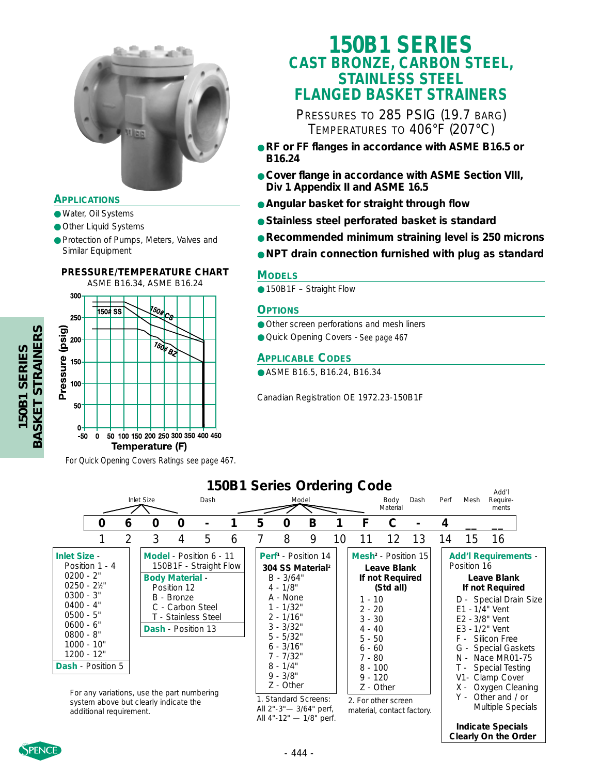

#### **APPLICATIONS**

- Water, Oil Systems
- Other Liquid Systems
- Protection of Pumps, Meters, Valves and Similar Equipment

#### **PRESSURE/TEMPERATURE CHART**

ASME B16.34, ASME B16.24 300



*For Quick Opening Covers Ratings see page 467.*

## **150B1 SERIES CAST BRONZE, CARBON STEEL, STAINLESS STEEL FLANGED BASKET STRAINERS**

PRESSURES TO 285 PSIG (19.7 BARG) TEMPERATURES TO 406°F (207°C)

- **RF or FF flanges in accordance with ASME B16.5 or B16.24**
- **Cover flange in accordance with ASME Section VIII, Div 1 Appendix II and ASME 16.5**
- **Angular basket for straight through flow**
- **Stainless steel perforated basket is standard**
- **Recommended minimum straining level is 250 microns**
- **NPT drain connection furnished with plug as standard**

#### **MODELS**

● 150B1F – Straight Flow

#### **OPTIONS**

- Other screen perforations and mesh liners
- Quick Opening Covers *See page 467*

#### **APPLICABLE CODES**

● ASME B16.5, B16.24, B16.34

Canadian Registration OE 1972.23-150B1F

#### **0 6 0 0 - 1 5 0 B 1 F C - 4 \_\_ \_\_** 1 2 3 4 5 6 7 8 9 10 11 12 13 14 15 16 Add'l Inlet Size Dash Model Body Dash Perf Mesh Require-Material ments **150B1 Series Ordering Code Inlet Size** - Position 1 - 4 0200 - 2" 0250 - 21 ⁄2" 0300 - 3" 0400 - 4" 0500 - 5" 0600 - 6" 0800 - 8" 1000 - 10" 1200 - 12" **Dash** - Position 5 **Model** - Position 6 - 11 150B1F - Straight Flow **Body Material** - Position 12 B - Bronze C - Carbon Steel T - Stainless Steel **Dash** - Position 13 **Perf1** - Position 14 **304 SS Material2** B - 3/64" 4 - 1/8" A - None 1 - 1/32"  $2 - 1/16"$ 3 - 3/32" 5 - 5/32" 6 - 3/16" 7 - 7/32" 8 - 1/4" 9 - 3/8" Z - Other **Mesh2** - Position 15 **Leave Blank If not Required (Std all)** 1 - 10 2 - 20 3 - 30  $4 - 40$ 5 - 50 6 - 60 7 - 80 8 - 100 9 - 120 Z - Other **Add'l Requirements** - Position 16 **Leave Blank If not Required** D - Special Drain Size E1 - 1/4" Vent E2 - 3/8" Vent E3 - 1/2" Vent F - Silicon Free G - Special Gaskets N - Nace MR01-75 T - Special Testing V1- Clamp Cover X - Oxygen Cleaning Y - Other and / or Multiple Specials **Indicate Specials Clearly On the Order** For any variations, use the part numbering system above but clearly indicate the additional requirement. 1. Standard Screens: All 2"-3"— 3/64" perf, All 4"-12" — 1/8" perf. 2. For other screen material, contact factory.



150B1 SERIES<br>BASKET STRAINERS **BASKET STRAINERS 150B1 SERIES**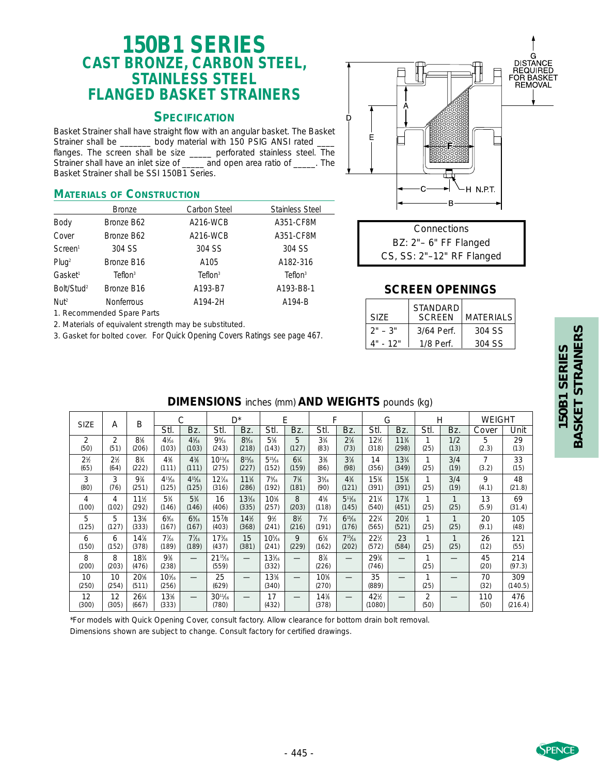# **150B1 SERIES CAST BRONZE, CARBON STEEL, STAINLESS STEEL FLANGED BASKET STRAINERS**

#### **SPECIFICATION**

Basket Strainer shall have straight flow with an angular basket. The Basket Strainer shall be \_\_\_\_\_\_ body material with 150 PSIG ANSI rated flanges. The screen shall be size \_\_\_\_\_ perforated stainless steel. The Strainer shall have an inlet size of and open area ratio of The Basket Strainer shall be SSI 150B1 Series.

#### **MATERIALS OF CONSTRUCTION**

|                        | <b>Bronze</b>          | Carbon Steel        | <b>Stainless Steel</b> |  |  |  |
|------------------------|------------------------|---------------------|------------------------|--|--|--|
| Body                   | Bronze B62             | A216-WCB            | A351-CF8M              |  |  |  |
| Cover                  | Bronze B62             | A216-WCB            | A351-CF8M              |  |  |  |
| Screen <sup>1</sup>    | 304 SS                 | 304 SS              | 304 SS                 |  |  |  |
| Pluq <sup>2</sup>      | Bronze B16             | A105                | A182-316               |  |  |  |
| Gasket <sup>1</sup>    | Teflon <sup>3</sup>    | Teflon <sup>3</sup> | Teflon <sup>3</sup>    |  |  |  |
| Bolt/Stud <sup>2</sup> | Bronze B <sub>16</sub> | A193-B7             | A193-B8-1              |  |  |  |
| $N$ ut <sup>2</sup>    | <b>Nonferrous</b>      | A194-2H             | A194-B                 |  |  |  |

1. Recommended Spare Parts

2. Materials of equivalent strength may be substituted.

3. Gasket for bolted cover. *For Quick Opening Covers Ratings see page 467.*



| Connections                |  |  |  |  |  |  |
|----------------------------|--|--|--|--|--|--|
| $BZ: 2" - 6" FF Flanguage$ |  |  |  |  |  |  |
| CS, SS: 2"-12" RF Flanged  |  |  |  |  |  |  |

#### **SCREEN OPENINGS**

| SI7F.     | <b>STANDARD</b><br><b>SCREEN</b> | MATERIALS |  |  |
|-----------|----------------------------------|-----------|--|--|
| $2" - 3"$ | 3/64 Perf.                       | 304 SS    |  |  |
| 4" - 12"  | $1/8$ Perf.                      | 304 SS    |  |  |

# **BASKET STRAINERS BASKET STRAINERS** 150B1 SERIES **150B1 SERIES**

| <b>DIMENSIONS</b> inches (mm) <b>AND WEIGHTS</b> pounds (kg) |  |  |
|--------------------------------------------------------------|--|--|
|                                                              |  |  |

| <b>SIZE</b>                   | Α                             | Β              |                         | С               |                                    | $D^*$                |                          | Е              | F              |                      | G               |                                |           | H            | <b>WEIGHT</b> |                |
|-------------------------------|-------------------------------|----------------|-------------------------|-----------------|------------------------------------|----------------------|--------------------------|----------------|----------------|----------------------|-----------------|--------------------------------|-----------|--------------|---------------|----------------|
|                               |                               |                | Stl.                    | Bz.             | Stl.                               | Bz.                  | Stl.                     | Bz.            | Stl.           | Bz.                  | Stl.            | Bz.                            | Stl.      | Bz.          | Cover         | Unit           |
| $\overline{2}$                | $\overline{2}$                | $8\%$          | $4\frac{1}{16}$         | $4\frac{1}{16}$ | 9%6                                | 8%                   | $5\%$                    | 5              | $3\frac{1}{4}$ | $2^7$ / <sub>8</sub> | 12%             | 11 <sup>3</sup> / <sub>4</sub> | (25)      | 1/2          | 5             | 29             |
| (50)                          | (51)                          | (206)          | (103)                   | (103)           | (243)                              | (218)                | (143)                    | (127)          | (83)           | (73)                 | (318)           | (298)                          |           | (13)         | (2.3)         | (13)           |
| 2 <sup>1</sup> / <sub>2</sub> | 2 <sup>1</sup> / <sub>2</sub> | $8\frac{3}{4}$ | $4\%$                   | $4^{3}/_{8}$    | $10^{13}$ / <sub>16</sub>          | $8^{15}/16$          | $5^{15}/16$              | $6\frac{1}{4}$ | 3 <sup>3</sup> | 3 <sup>7</sup>       | 14              | $13\frac{3}{4}$                | (25)      | 3/4          | 7             | 33             |
| (65)                          | (64)                          | (222)          | (111)                   | (111)           | (275)                              | (227)                | (152)                    | (159)          | (86)           | (98)                 | (356)           | (349)                          |           | (19)         | (3.2)         | (15)           |
| 3                             | 3                             | $9\%$          | $4^{15}$ /16            | $4^{15}/16$     | $12\%$                             | $11\%$               | 7%                       | 7 <sup>1</sup> | 3%             | $4\frac{3}{4}$       | 15%             | 15%                            | (25)      | 3/4          | 9             | 48             |
| (80)                          | (76)                          | (251)          | (125)                   | (125)           | (316)                              | (286)                | (192)                    | (181)          | (90)           | (121)                | (391)           | (391)                          |           | (19)         | (4.1)         | (21.8)         |
| 4                             | 4                             | 11½            | $5\frac{3}{4}$          | $5\frac{3}{4}$  | 16                                 | $133$ / <sub>6</sub> | 10 <sup>1</sup>          | 8              | $4^{5}$ /s     | $5^{11}/16$          | $21\frac{1}{4}$ | 17 <sup>3</sup> / <sub>4</sub> | (25)      | 1            | 13            | 69             |
| (100)                         | (102)                         | (292)          | (146)                   | (146)           | (406)                              | (335)                | (257)                    | (203)          | (118)          | (145)                | (540)           | (451)                          |           | (25)         | (5.9)         | (31.4)         |
| 5                             | 5                             | 13%            | 6%                      | 6%              | $15\%$                             | 14%                  | 9 <sub>2</sub>           | 8 <sub>2</sub> | 7%             | $6^{15}/16$          | $22\frac{1}{4}$ | 20%                            | 1         | 1            | 20            | 105            |
| (125)                         | (127)                         | (333)          | (167)                   | (167)           | (403)                              | (368)                | (241)                    | (216)          | (191)          | (176)                | (565)           | (521)                          | (25)      | (25)         | (9.1)         | (48)           |
| 6                             | 6                             | 14%            | $7\%$                   | $7\%$           | 17 <sub>16</sub>                   | 15                   | $10^{5}$ / <sub>16</sub> | 9              | $6\%$          | $7^{15}$ /16         | 22%             | 23                             | (25)      | $\mathbf{1}$ | 26            | 121            |
| (150)                         | (152)                         | (378)          | (189)                   | (189)           | (437)                              | (381)                | (241)                    | (229)          | (162)          | (202)                | (572)           | (584)                          |           | (25)         | (12)          | (55)           |
| 8<br>(200)                    | 8<br>(203)                    | 18%<br>(476)   | 9 <sup>3</sup><br>(238) | –               | $21^{15}$ / <sub>6</sub><br>(559)  |                      | $13\%$<br>(332)          |                | $8\%$<br>(226) |                      | 29%<br>(746)    |                                | (25)      |              | 45<br>(20)    | 214<br>(97.3)  |
| 10<br>(250)                   | 10<br>(254)                   | 20%<br>(511)   | $10\%$<br>(256)         | –               | 25<br>(629)                        |                      | 13%<br>(340)             |                | 10%<br>(270)   |                      | 35<br>(889)     |                                | (25)      |              | 70<br>(32)    | 309<br>(140.5) |
| 12<br>(300)                   | 12<br>(305)                   | 26¼<br>(667)   | 13%<br>(333)            |                 | $30^{11}$ / <sub>16</sub><br>(780) |                      | 17<br>(432)              |                | 14%<br>(378)   |                      | 42%<br>(1080)   |                                | 2<br>(50) |              | 110<br>(50)   | 476<br>(216.4) |

\*For models with Quick Opening Cover, consult factory. Allow clearance for bottom drain bolt removal. Dimensions shown are subject to change. Consult factory for certified drawings.